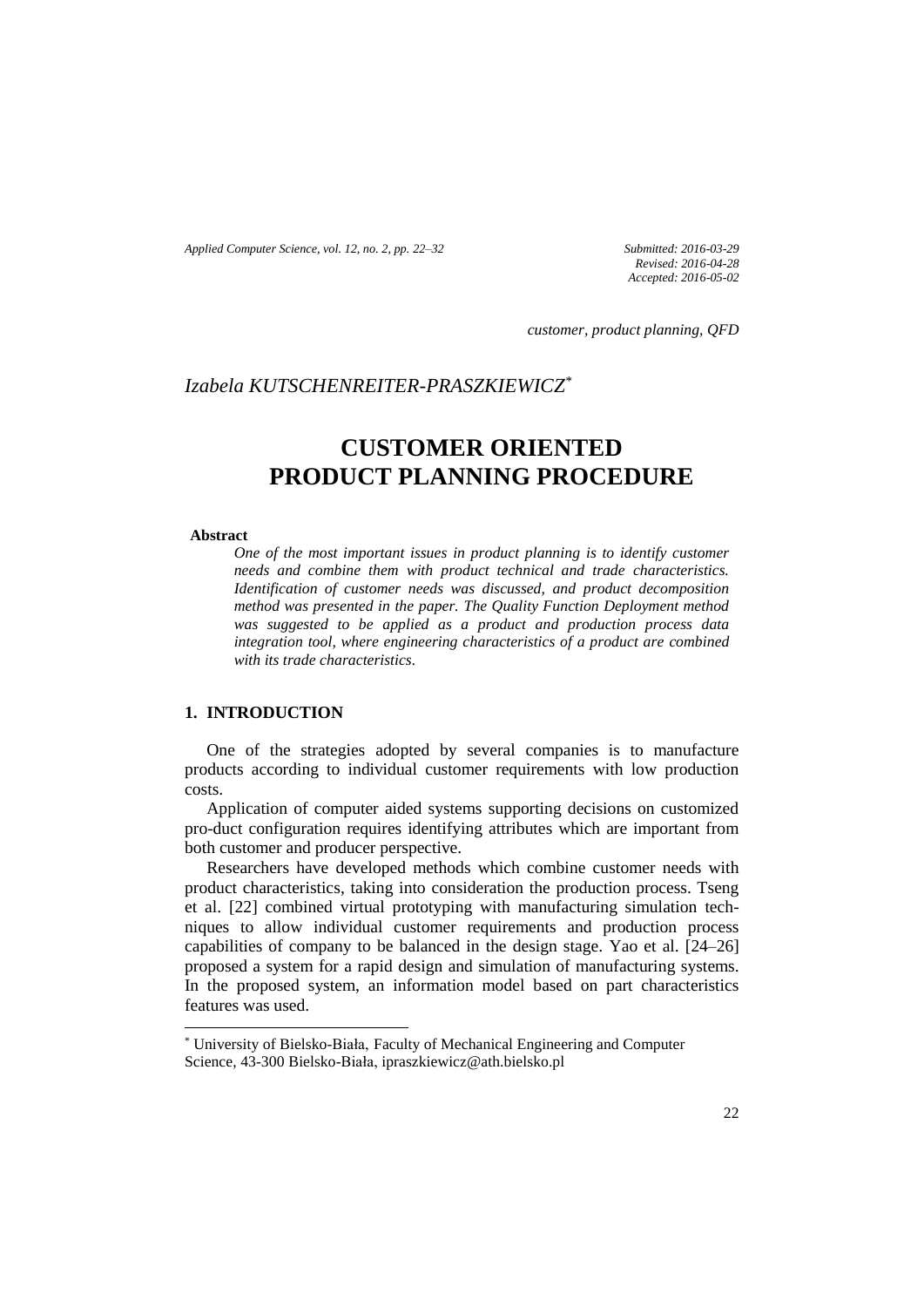*Applied Computer Science, vol. 12, no. 2, pp. 22–32 Submitted: 2016-03-29*

*Revised: 2016-04-28 Accepted: 2016-05-02*

*customer, product planning, QFD*

# *Izabela KUTSCHENREITER-PRASZKIEWICZ\**

# **CUSTOMER ORIENTED PRODUCT PLANNING PROCEDURE**

#### **Abstract**

 $\overline{a}$ 

*One of the most important issues in product planning is to identify customer needs and combine them with product technical and trade characteristics. Identification of customer needs was discussed, and product decomposition method was presented in the paper. The Quality Function Deployment method was suggested to be applied as a product and production process data integration tool, where engineering characteristics of a product are combined with its trade characteristics.*

## **1. INTRODUCTION**

One of the strategies adopted by several companies is to manufacture products according to individual customer requirements with low production costs.

Application of computer aided systems supporting decisions on customized pro-duct configuration requires identifying attributes which are important from both customer and producer perspective.

Researchers have developed methods which combine customer needs with product characteristics, taking into consideration the production process. Tseng et al. [22] combined virtual prototyping with manufacturing simulation techniques to allow individual customer requirements and production process capabilities of company to be balanced in the design stage. Yao et al. [24–26] proposed a system for a rapid design and simulation of manufacturing systems. In the proposed system, an information model based on part characteristics features was used.

<sup>\*</sup> University of Bielsko-Biała, Faculty of Mechanical Engineering and Computer Science, 43-300 Bielsko-Biała, ipraszkiewicz@ath.bielsko.pl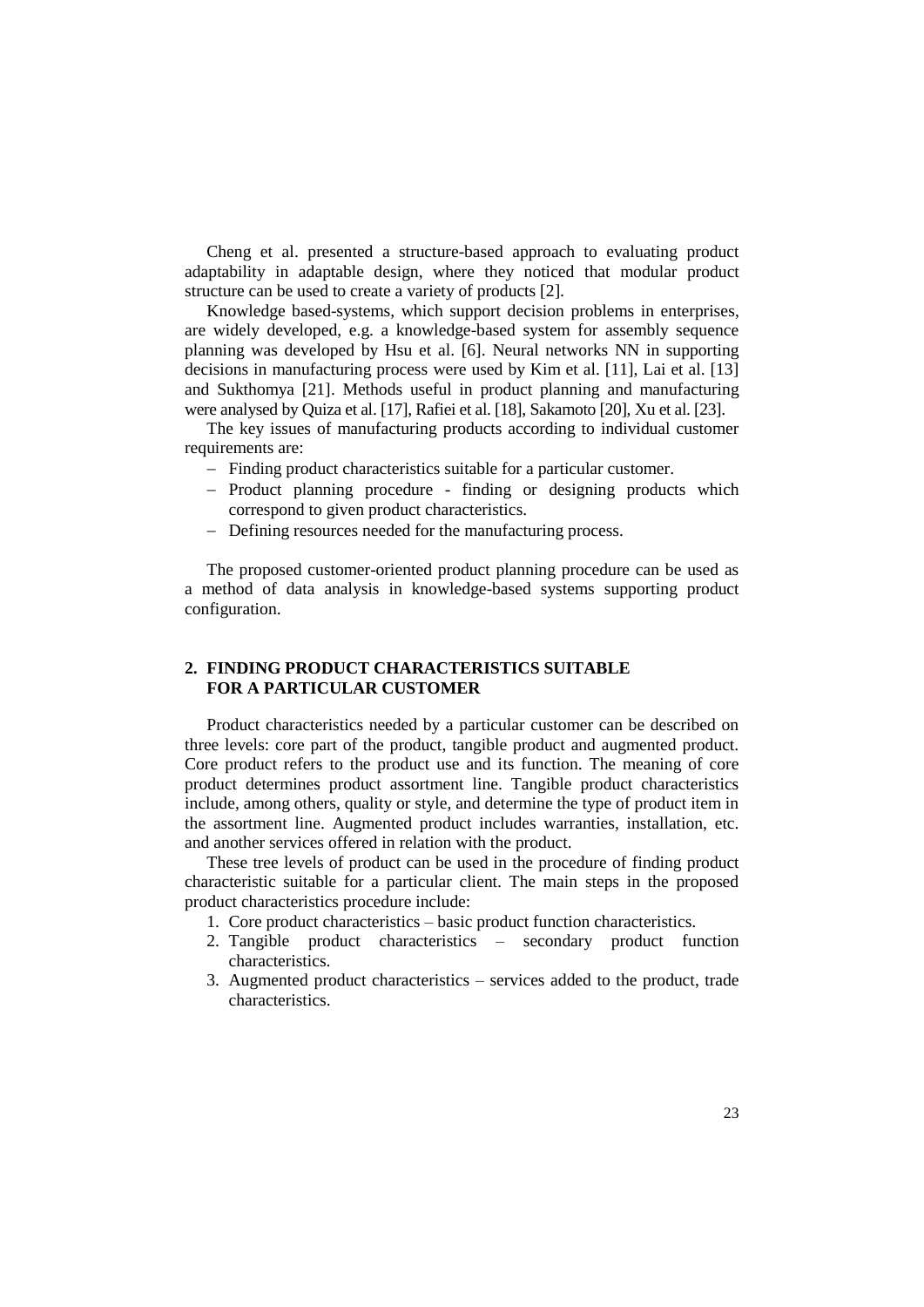Cheng et al. presented a structure-based approach to evaluating product adaptability in adaptable design, where they noticed that modular product structure can be used to create a variety of products [2].

Knowledge based-systems, which support decision problems in enterprises, are widely developed, e.g. a knowledge-based system for assembly sequence planning was developed by Hsu et al. [6]. Neural networks NN in supporting decisions in manufacturing process were used by Kim et al. [11], Lai et al. [13] and Sukthomya [21]. Methods useful in product planning and manufacturing were analysed by Quiza et al. [17], Rafiei et al. [18], Sakamoto [20], Xu et al. [23].

The key issues of manufacturing products according to individual customer requirements are:

- Finding product characteristics suitable for a particular customer.
- Product planning procedure finding or designing products which correspond to given product characteristics.
- Defining resources needed for the manufacturing process.

The proposed customer-oriented product planning procedure can be used as a method of data analysis in knowledge-based systems supporting product configuration.

## **2. FINDING PRODUCT CHARACTERISTICS SUITABLE FOR A PARTICULAR CUSTOMER**

Product characteristics needed by a particular customer can be described on three levels: core part of the product, tangible product and augmented product. Core product refers to the product use and its function. The meaning of core product determines product assortment line. Tangible product characteristics include, among others, quality or style, and determine the type of product item in the assortment line. Augmented product includes warranties, installation, etc. and another services offered in relation with the product.

These tree levels of product can be used in the procedure of finding product characteristic suitable for a particular client. The main steps in the proposed product characteristics procedure include:

- 1. Core product characteristics basic product function characteristics.
- 2. Tangible product characteristics secondary product function characteristics.
- 3. Augmented product characteristics services added to the product, trade characteristics.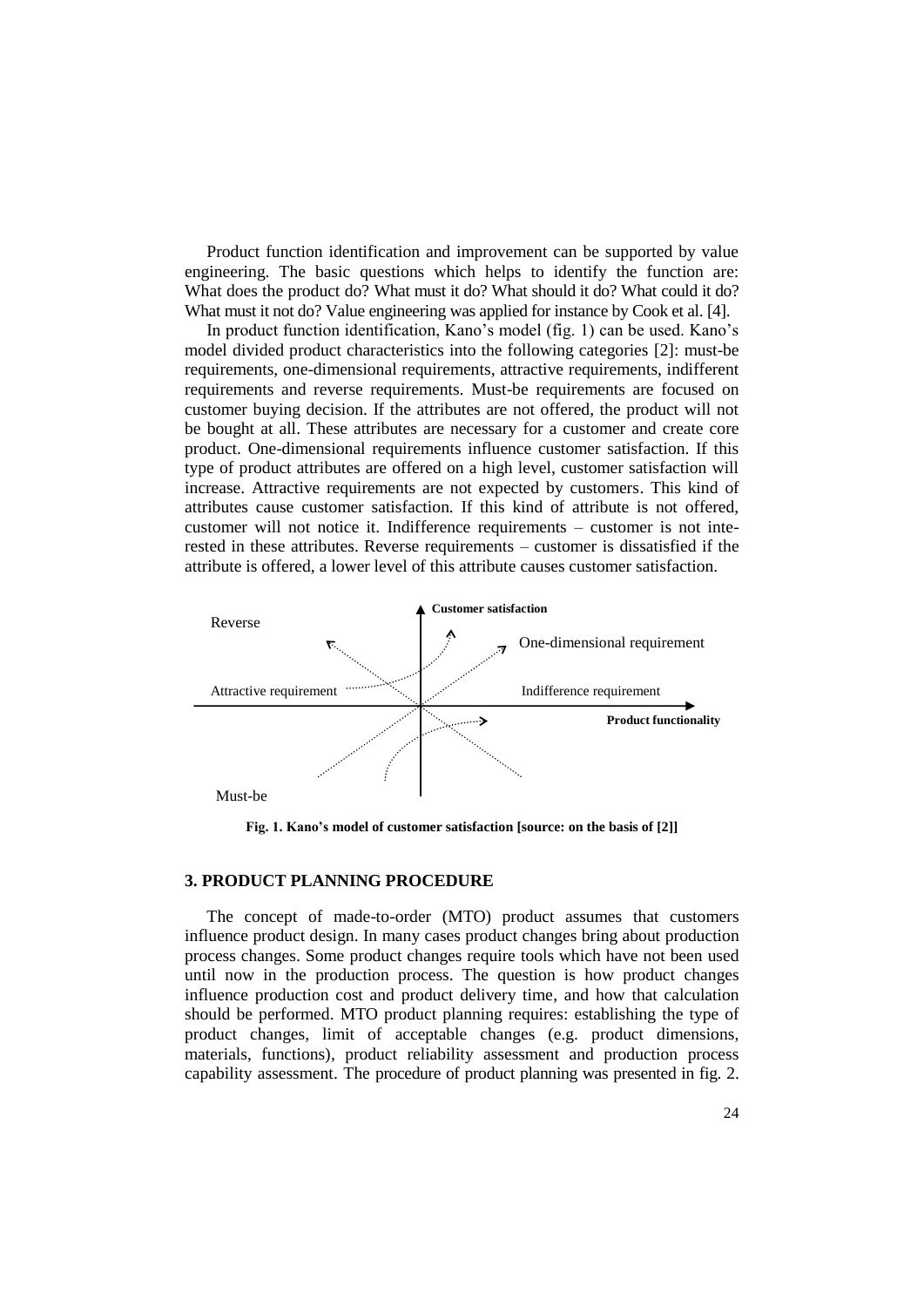Product function identification and improvement can be supported by value engineering. The basic questions which helps to identify the function are: What does the product do? What must it do? What should it do? What could it do? What must it not do? Value engineering was applied for instance by Cook et al. [4].

In product function identification, Kano's model (fig. 1) can be used. Kano's model divided product characteristics into the following categories [2]: must-be requirements, one-dimensional requirements, attractive requirements, indifferent requirements and reverse requirements. Must-be requirements are focused on customer buying decision. If the attributes are not offered, the product will not be bought at all. These attributes are necessary for a customer and create core product. One-dimensional requirements influence customer satisfaction. If this type of product attributes are offered on a high level, customer satisfaction will increase. Attractive requirements are not expected by customers. This kind of attributes cause customer satisfaction. If this kind of attribute is not offered, customer will not notice it. Indifference requirements – customer is not interested in these attributes. Reverse requirements – customer is dissatisfied if the attribute is offered, a lower level of this attribute causes customer satisfaction.



**Fig. 1. Kano's model of customer satisfaction [source: on the basis of [2]]**

### **3. PRODUCT PLANNING PROCEDURE**

The concept of made-to-order (MTO) product assumes that customers influence product design. In many cases product changes bring about production process changes. Some product changes require tools which have not been used until now in the production process. The question is how product changes influence production cost and product delivery time, and how that calculation should be performed. MTO product planning requires: establishing the type of product changes, limit of acceptable changes (e.g. product dimensions, materials, functions), product reliability assessment and production process capability assessment. The procedure of product planning was presented in fig. 2.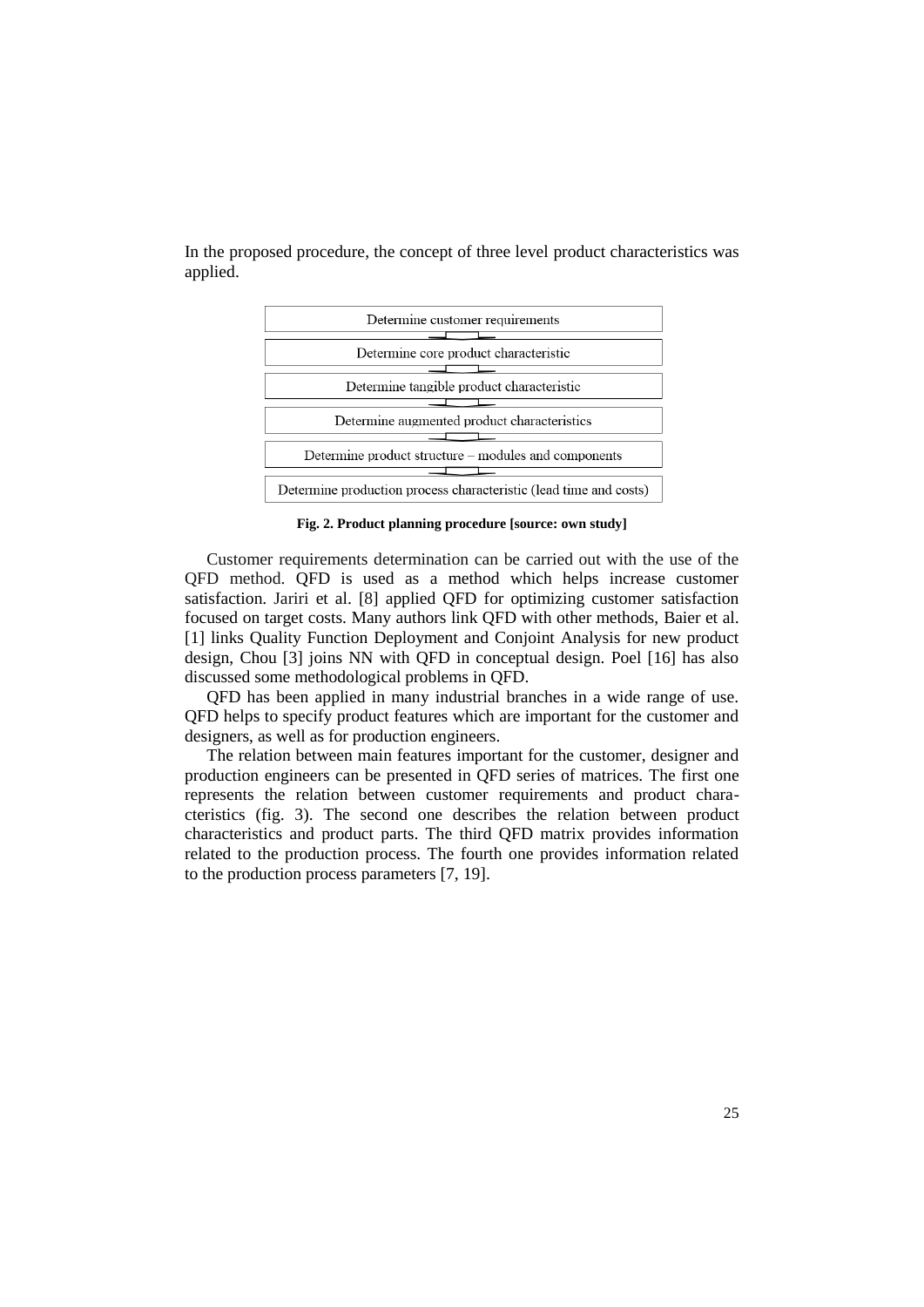In the proposed procedure, the concept of three level product characteristics was applied.



**Fig. 2. Product planning procedure [source: own study]**

Customer requirements determination can be carried out with the use of the QFD method. QFD is used as a method which helps increase customer satisfaction. Jariri et al. [8] applied QFD for optimizing customer satisfaction focused on target costs. Many authors link QFD with other methods, Baier et al. [1] links Quality Function Deployment and Conjoint Analysis for new product design, Chou [3] joins NN with QFD in conceptual design. Poel [16] has also discussed some methodological problems in QFD.

QFD has been applied in many industrial branches in a wide range of use. QFD helps to specify product features which are important for the customer and designers, as well as for production engineers.

The relation between main features important for the customer, designer and production engineers can be presented in QFD series of matrices. The first one represents the relation between customer requirements and product characteristics (fig. 3). The second one describes the relation between product characteristics and product parts. The third QFD matrix provides information related to the production process. The fourth one provides information related to the production process parameters [7, 19].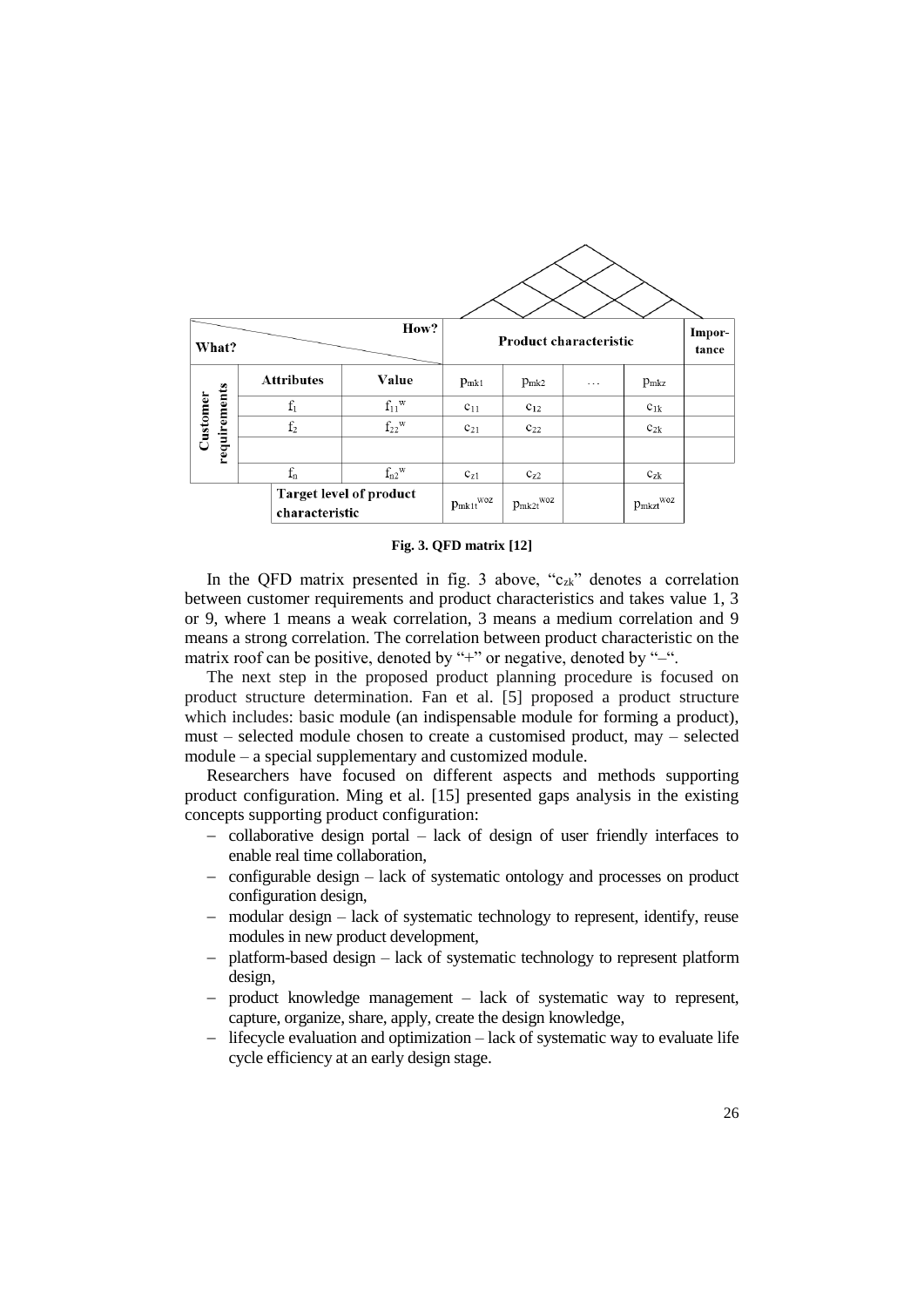| How?<br>What?                                    |                   |                          | <b>Product characteristic</b> |           |                           |               | Impor-<br>tance |
|--------------------------------------------------|-------------------|--------------------------|-------------------------------|-----------|---------------------------|---------------|-----------------|
|                                                  | <b>Attributes</b> | Value                    | $p_{mk1}$                     | $p_{mk2}$ | .                         | $p_{\rm mkz}$ |                 |
| Customer                                         | $\rm f_1$         | $f_{11}$ <sup>w</sup>    | $c_{11}$                      | $C_{12}$  |                           | $c_{1k}$      |                 |
|                                                  | $\rm f_2$         | $\rm{f_{22}^W}$          | $C_{21}$                      | $C_{22}$  |                           | $c_{2k}$      |                 |
| requirements                                     |                   |                          |                               |           |                           |               |                 |
|                                                  | $\rm f_n$         | $f_{n2}$ <sup>w</sup>    | $C_{Z1}$                      | $C_{Z2}$  |                           | $c_{zk}$      |                 |
| <b>Target level of product</b><br>characteristic |                   | $p_{\rm mktt}^{\rm woz}$ | $p_{mk2t}$ woz                |           | $p_{\rm mkzt}^{\rm\,woz}$ |               |                 |

**Fig. 3. QFD matrix [12]**

In the QFD matrix presented in fig. 3 above, " $c_{\alpha k}$ " denotes a correlation between customer requirements and product characteristics and takes value 1, 3 or 9, where 1 means a weak correlation, 3 means a medium correlation and 9 means a strong correlation. The correlation between product characteristic on the matrix roof can be positive, denoted by " $+$ " or negative, denoted by " $-$ ".

The next step in the proposed product planning procedure is focused on product structure determination. Fan et al. [5] proposed a product structure which includes: basic module (an indispensable module for forming a product), must – selected module chosen to create a customised product, may – selected module – a special supplementary and customized module.

Researchers have focused on different aspects and methods supporting product configuration. Ming et al. [15] presented gaps analysis in the existing concepts supporting product configuration:

- collaborative design portal lack of design of user friendly interfaces to enable real time collaboration,
- configurable design lack of systematic ontology and processes on product configuration design,
- modular design lack of systematic technology to represent, identify, reuse modules in new product development,
- platform-based design lack of systematic technology to represent platform design,
- product knowledge management lack of systematic way to represent, capture, organize, share, apply, create the design knowledge,
- $-$  lifecycle evaluation and optimization  $-$  lack of systematic way to evaluate life cycle efficiency at an early design stage.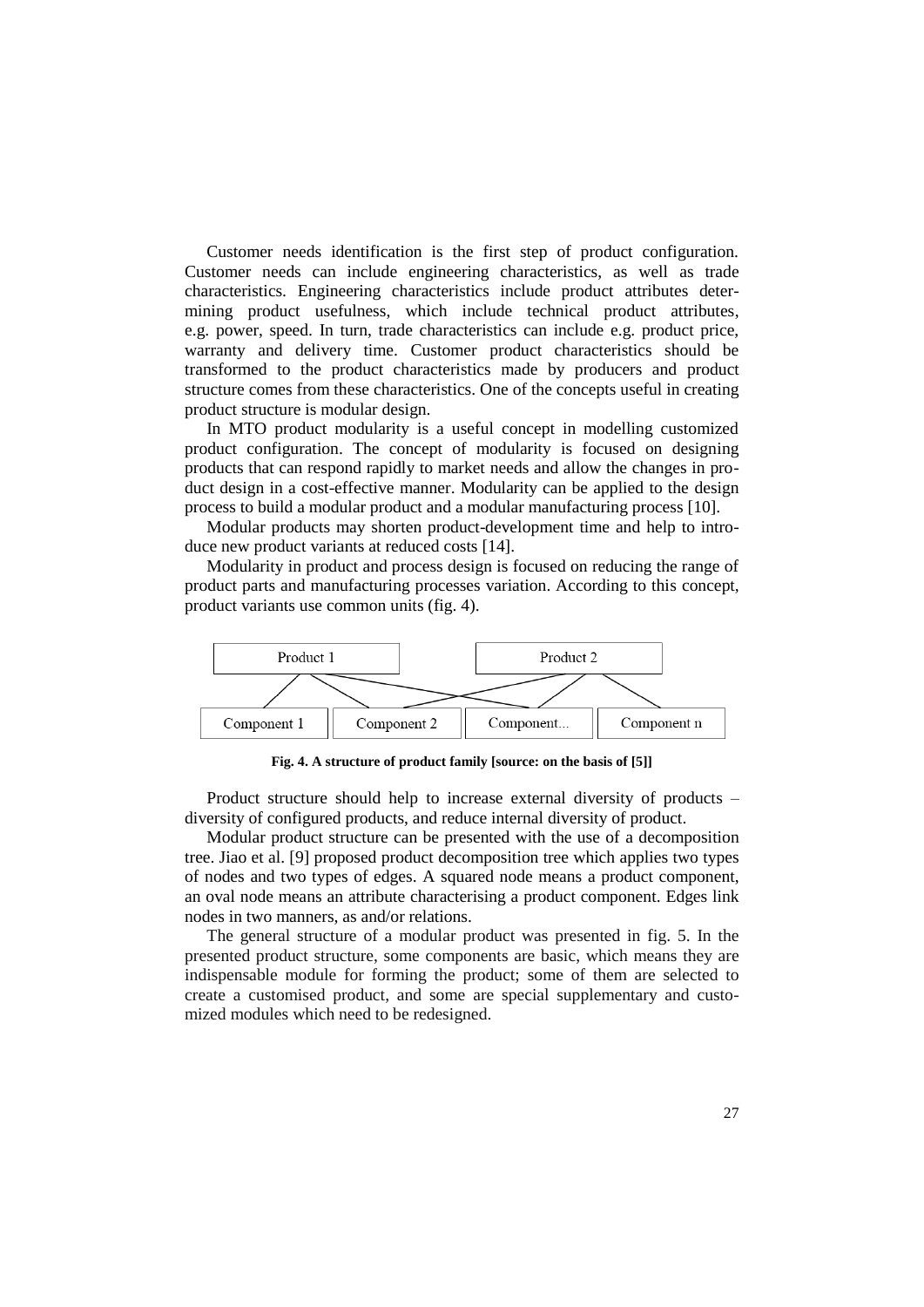Customer needs identification is the first step of product configuration. Customer needs can include engineering characteristics, as well as trade characteristics. Engineering characteristics include product attributes determining product usefulness, which include technical product attributes, e.g. power, speed. In turn, trade characteristics can include e.g. product price, warranty and delivery time. Customer product characteristics should be transformed to the product characteristics made by producers and product structure comes from these characteristics. One of the concepts useful in creating product structure is modular design.

In MTO product modularity is a useful concept in modelling customized product configuration. The concept of modularity is focused on designing products that can respond rapidly to market needs and allow the changes in product design in a cost-effective manner. Modularity can be applied to the design process to build a modular product and a modular manufacturing process [10].

Modular products may shorten product-development time and help to introduce new product variants at reduced costs [14].

Modularity in product and process design is focused on reducing the range of product parts and manufacturing processes variation. According to this concept, product variants use common units (fig. 4).



**Fig. 4. A structure of product family [source: on the basis of [5]]**

Product structure should help to increase external diversity of products – diversity of configured products, and reduce internal diversity of product.

Modular product structure can be presented with the use of a decomposition tree. Jiao et al. [9] proposed product decomposition tree which applies two types of nodes and two types of edges. A squared node means a product component, an oval node means an attribute characterising a product component. Edges link nodes in two manners, as and/or relations.

The general structure of a modular product was presented in fig. 5. In the presented product structure, some components are basic, which means they are indispensable module for forming the product; some of them are selected to create a customised product, and some are special supplementary and customized modules which need to be redesigned.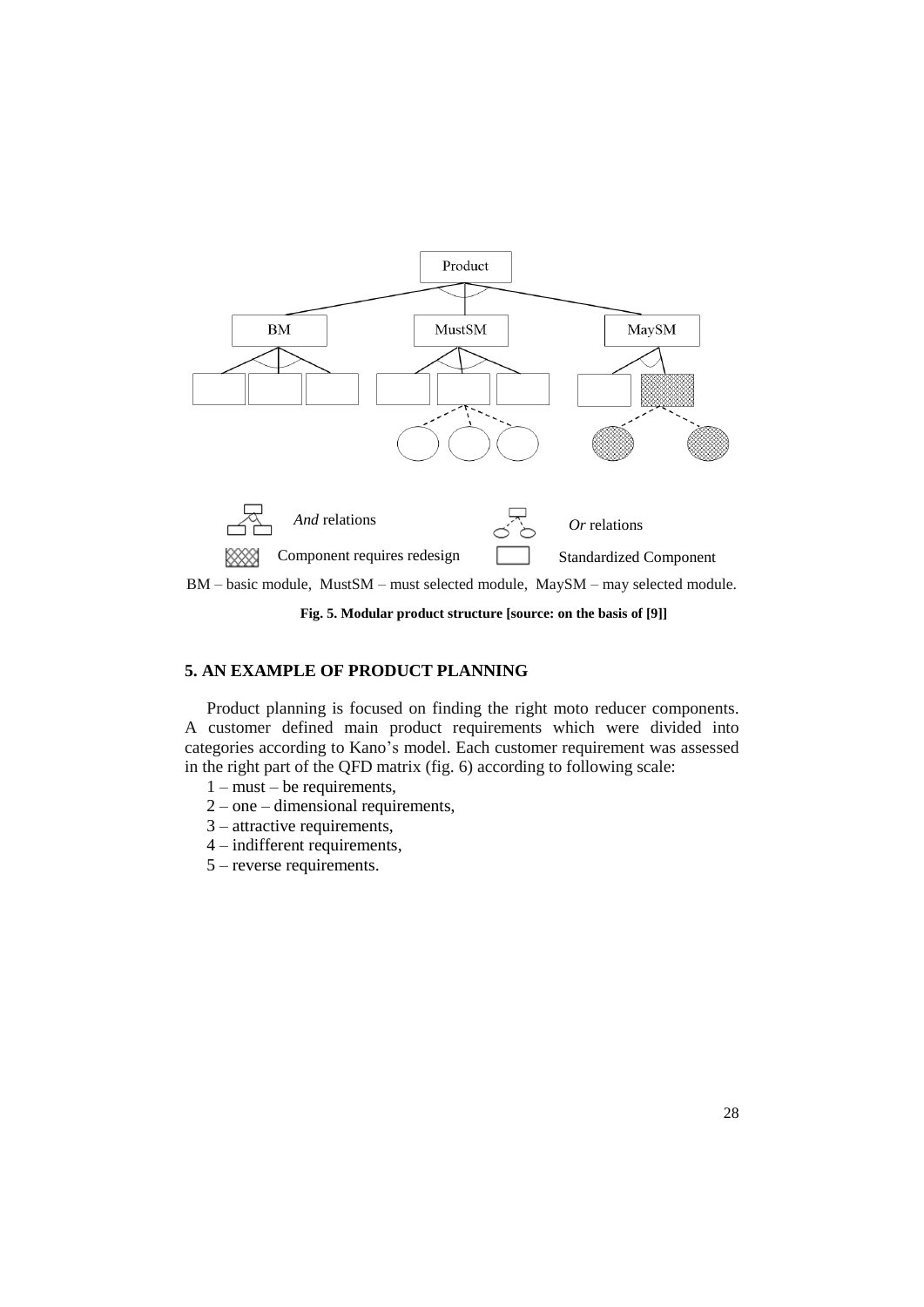

**Fig. 5. Modular product structure [source: on the basis of [9]]**

# **5. AN EXAMPLE OF PRODUCT PLANNING**

Product planning is focused on finding the right moto reducer components. A customer defined main product requirements which were divided into categories according to Kano's model. Each customer requirement was assessed in the right part of the QFD matrix (fig. 6) according to following scale:

- 1 must be requirements,
- 2 one dimensional requirements,
- 3 attractive requirements,
- 4 indifferent requirements,
- 5 reverse requirements.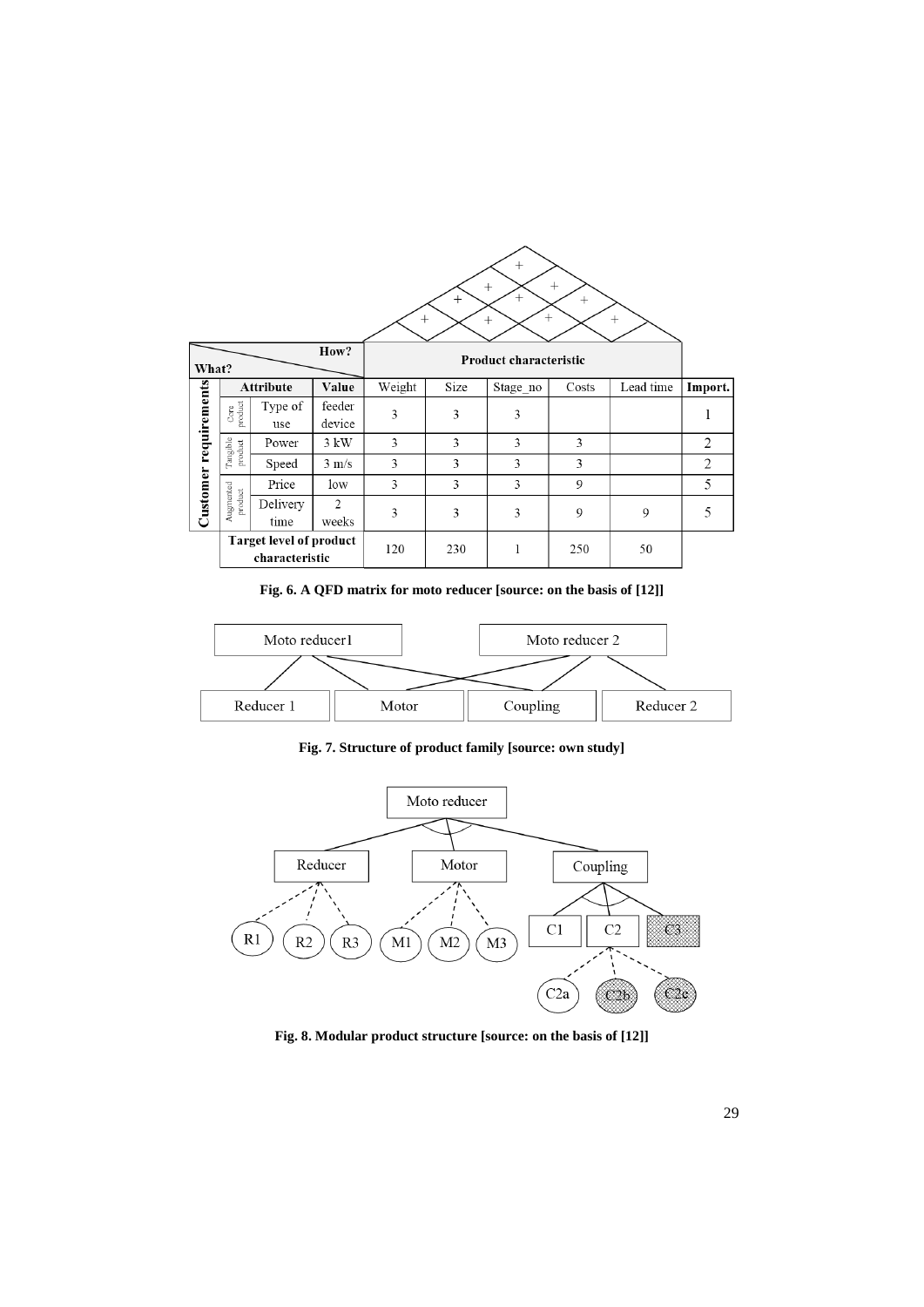| $^{+}$<br>$^{+}$<br>$^{+}$<br>$+$<br>$^{+}$<br>$^{+}$<br>$^{+}$<br>$^{+}$<br>$^{+}$<br>$^{+}$ |                      |                                                  |                        |                        |      |          |       |           |         |
|-----------------------------------------------------------------------------------------------|----------------------|--------------------------------------------------|------------------------|------------------------|------|----------|-------|-----------|---------|
| How?<br>What?                                                                                 |                      |                                                  |                        | Product characteristic |      |          |       |           |         |
|                                                                                               | <b>Attribute</b>     |                                                  | Value                  | Weight                 | Size | Stage no | Costs | Lead time | Import. |
| Customer requirements                                                                         | Core<br>product      | Type of<br>use                                   | feeder<br>device       | 3                      | 3    | 3        |       |           | 1       |
|                                                                                               | Tangible<br>product  | Power                                            | $3 \text{ kW}$         | 3                      | 3    | 3        | 3     |           | 2       |
|                                                                                               |                      | Speed                                            | $3 \text{ m/s}$        | 3                      | 3    | 3        | 3     |           | 2       |
|                                                                                               |                      | Price                                            | low                    | 3                      | 3    | 3        | 9     |           | 5       |
|                                                                                               | Augmented<br>product | Delivery<br>time                                 | $\mathcal{L}$<br>weeks | 3                      | 3    | 3        | 9     | 9         | 5       |
|                                                                                               |                      | <b>Target level of product</b><br>characteristic |                        | 120                    | 230  | 1        | 250   | 50        |         |

**Fig. 6. A QFD matrix for moto reducer [source: on the basis of [12]]**



**Fig. 7. Structure of product family [source: own study]**



**Fig. 8. Modular product structure [source: on the basis of [12]]**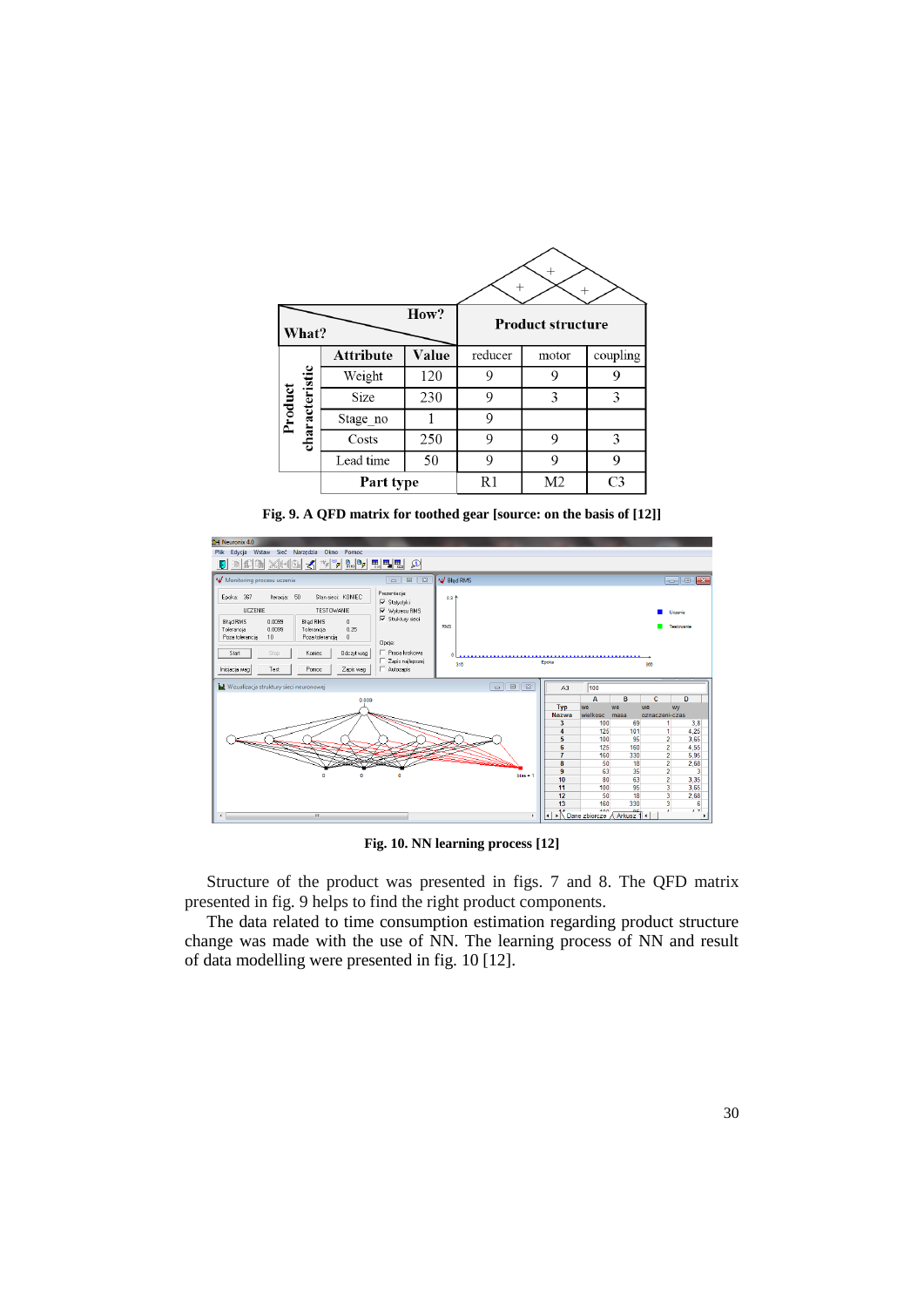| What?                     |                  | How?         | <b>Product structure</b> |                |                |  |
|---------------------------|------------------|--------------|--------------------------|----------------|----------------|--|
|                           | <b>Attribute</b> | <b>Value</b> | reducer                  | motor          | coupling       |  |
|                           | Weight           | 120          | 9                        | 9              | 9              |  |
| characteristic<br>Product | Size             | 230          | 9                        | 3              | 3              |  |
|                           | Stage no         |              | 9                        |                |                |  |
|                           | Costs            | 250          | 9                        | 9              | 3              |  |
|                           | Lead time        | 50           | 9                        | 9              | 9              |  |
|                           | Part type        |              | R1                       | M <sub>2</sub> | C <sub>3</sub> |  |

**Fig. 9. A QFD matrix for toothed gear [source: on the basis of [12]]**



**Fig. 10. NN learning process [12]**

Structure of the product was presented in figs. 7 and 8. The QFD matrix presented in fig. 9 helps to find the right product components.

The data related to time consumption estimation regarding product structure change was made with the use of NN. The learning process of NN and result of data modelling were presented in fig. 10 [12].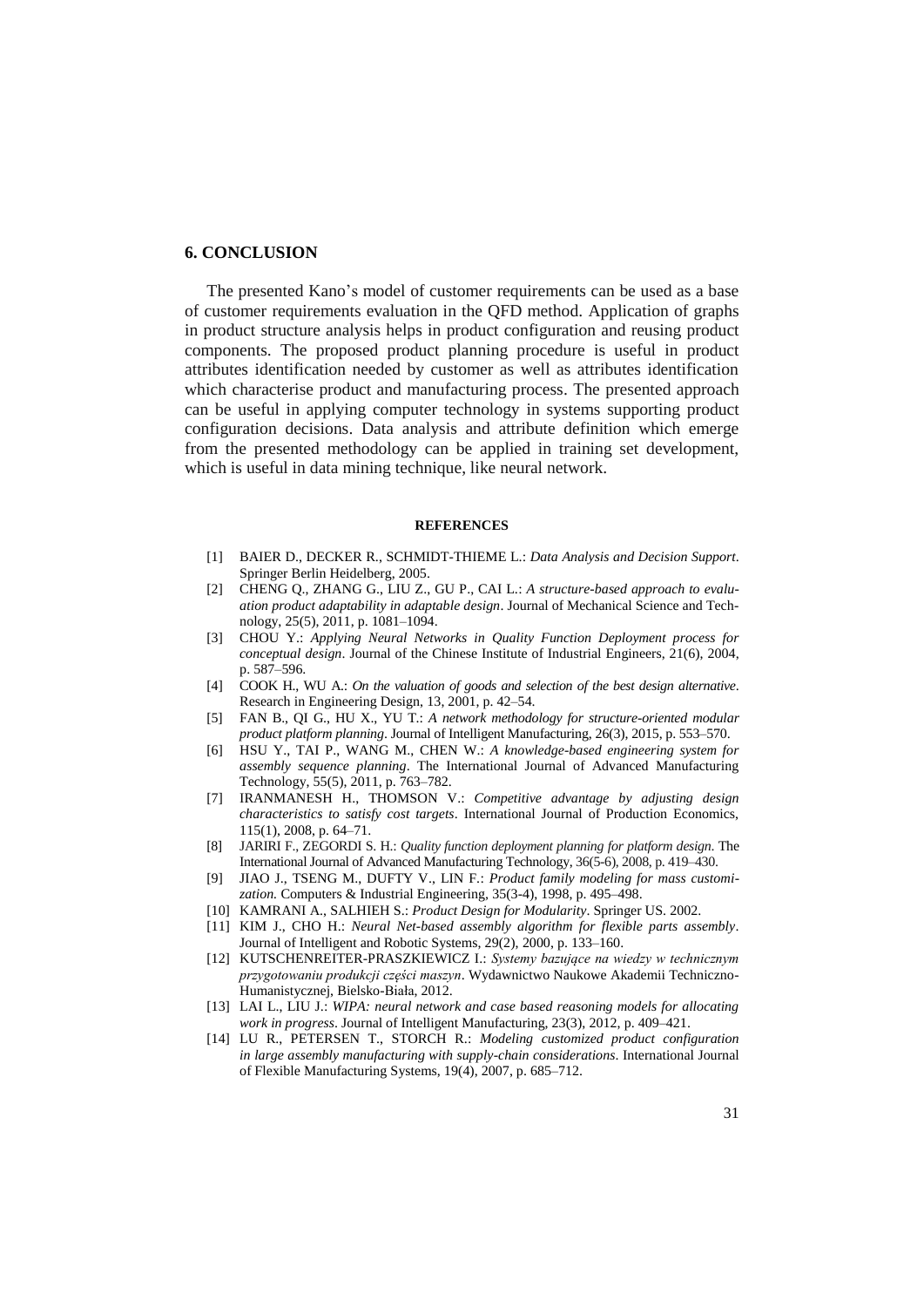### **6. CONCLUSION**

The presented Kano's model of customer requirements can be used as a base of customer requirements evaluation in the QFD method. Application of graphs in product structure analysis helps in product configuration and reusing product components. The proposed product planning procedure is useful in product attributes identification needed by customer as well as attributes identification which characterise product and manufacturing process. The presented approach can be useful in applying computer technology in systems supporting product configuration decisions. Data analysis and attribute definition which emerge from the presented methodology can be applied in training set development, which is useful in data mining technique, like neural network.

#### **REFERENCES**

- [1] BAIER D., DECKER R., SCHMIDT-THIEME L.: *Data Analysis and Decision Support*. Springer Berlin Heidelberg, 2005.
- [2] CHENG Q., ZHANG G., LIU Z., GU P., CAI L.: *A structure-based approach to evaluation product adaptability in adaptable design*. Journal of Mechanical Science and Technology, 25(5), 2011, p. 1081–1094.
- [3] CHOU Y.: *Applying Neural Networks in Quality Function Deployment process for conceptual design*. Journal of the Chinese Institute of Industrial Engineers, 21(6), 2004, p. 587–596.
- [4] COOK H., WU A.: *On the valuation of goods and selection of the best design alternative*. Research in Engineering Design, 13, 2001, p. 42–54.
- [5] FAN B., QI G., HU X., YU T.: *A network methodology for structure-oriented modular product platform planning*. Journal of Intelligent Manufacturing, 26(3), 2015, p. 553–570.
- [6] HSU Y., TAI P., WANG M., CHEN W.: *A knowledge-based engineering system for assembly sequence planning*. The International Journal of Advanced Manufacturing Technology, 55(5), 2011, p. 763–782.
- [7] IRANMANESH H., THOMSON V.: *Competitive advantage by adjusting design characteristics to satisfy cost targets*. International Journal of Production Economics, 115(1), 2008, p. 64–71.
- [8] JARIRI F., ZEGORDI S. H.: *Quality function deployment planning for platform design*. The International Journal of Advanced Manufacturing Technology, 36(5-6), 2008, p. 419–430.
- [9] JIAO J., TSENG M., DUFTY V., LIN F.: *Product family modeling for mass customization.* Computers & Industrial Engineering*,* 35(3-4), 1998, p. 495–498.
- [10] KAMRANI A., SALHIEH S.: *Product Design for Modularity*. Springer US. 2002.
- [11] KIM J., CHO H.: *Neural Net-based assembly algorithm for flexible parts assembly*. Journal of Intelligent and Robotic Systems, 29(2), 2000, p. 133–160.
- [12] KUTSCHENREITER-PRASZKIEWICZ I.: *Systemy bazujące na wiedzy w technicznym przygotowaniu produkcji części maszyn*. Wydawnictwo Naukowe Akademii Techniczno-Humanistycznej, Bielsko-Biała, 2012.
- [13] LAI L., LIU J.: *WIPA: neural network and case based reasoning models for allocating work in progress*. Journal of Intelligent Manufacturing, 23(3), 2012, p. 409–421.
- [14] LU R., PETERSEN T., STORCH R.: *Modeling customized product configuration in large assembly manufacturing with supply-chain considerations*. International Journal of Flexible Manufacturing Systems, 19(4), 2007, p. 685–712.